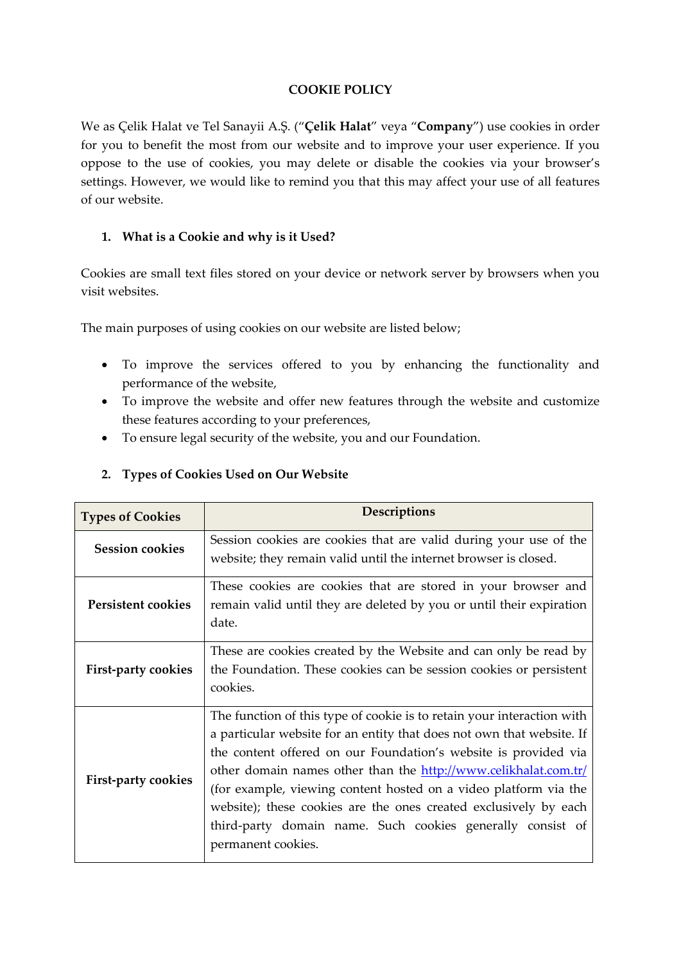### **COOKIE POLICY**

We as Çelik Halat ve Tel Sanayii A.Ş. ("**Çelik Halat**" veya "**Company**") use cookies in order for you to benefit the most from our website and to improve your user experience. If you oppose to the use of cookies, you may delete or disable the cookies via your browser's settings. However, we would like to remind you that this may affect your use of all features of our website.

#### **1. What is a Cookie and why is it Used?**

Cookies are small text files stored on your device or network server by browsers when you visit websites.

The main purposes of using cookies on our website are listed below;

- To improve the services offered to you by enhancing the functionality and performance of the website,
- To improve the website and offer new features through the website and customize these features according to your preferences,
- To ensure legal security of the website, you and our Foundation.

#### **2. Types of Cookies Used on Our Website**

| <b>Types of Cookies</b>    | Descriptions                                                                                                                                                                                                                                                                                                                                                                                                                                                                                                      |  |
|----------------------------|-------------------------------------------------------------------------------------------------------------------------------------------------------------------------------------------------------------------------------------------------------------------------------------------------------------------------------------------------------------------------------------------------------------------------------------------------------------------------------------------------------------------|--|
| <b>Session cookies</b>     | Session cookies are cookies that are valid during your use of the<br>website; they remain valid until the internet browser is closed.                                                                                                                                                                                                                                                                                                                                                                             |  |
| <b>Persistent cookies</b>  | These cookies are cookies that are stored in your browser and<br>remain valid until they are deleted by you or until their expiration<br>date.                                                                                                                                                                                                                                                                                                                                                                    |  |
| <b>First-party cookies</b> | These are cookies created by the Website and can only be read by<br>the Foundation. These cookies can be session cookies or persistent<br>cookies.                                                                                                                                                                                                                                                                                                                                                                |  |
| <b>First-party cookies</b> | The function of this type of cookie is to retain your interaction with<br>a particular website for an entity that does not own that website. If<br>the content offered on our Foundation's website is provided via<br>other domain names other than the http://www.celikhalat.com.tr/<br>(for example, viewing content hosted on a video platform via the<br>website); these cookies are the ones created exclusively by each<br>third-party domain name. Such cookies generally consist of<br>permanent cookies. |  |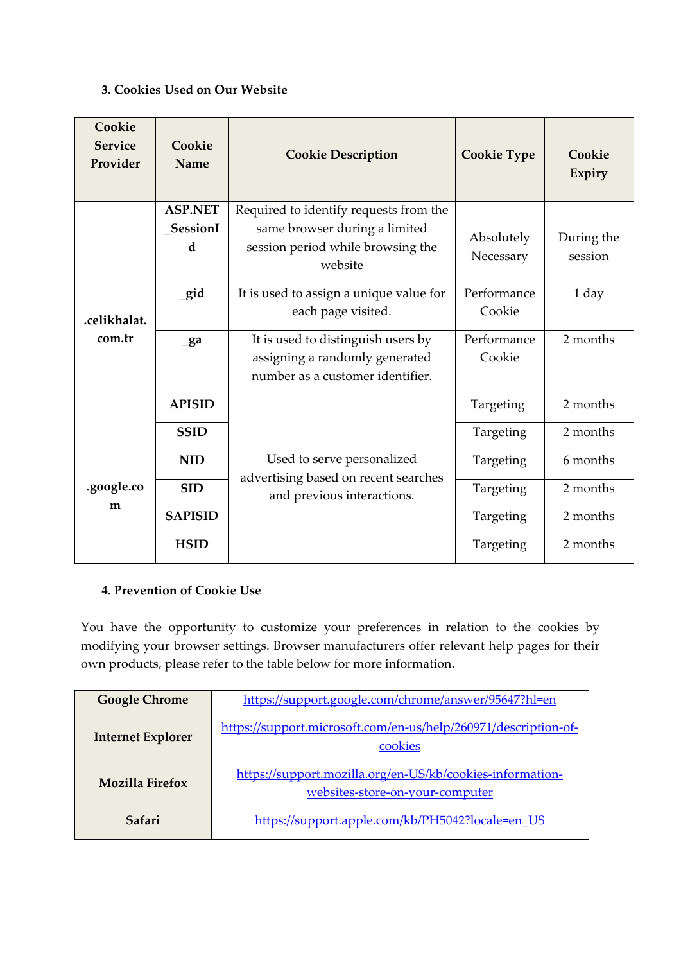## **3. Cookies Used on Our Website**

| Cookie<br><b>Service</b><br>Provider | Cookie<br>Name                   | <b>Cookie Description</b>                                                                                               | <b>Cookie Type</b>      | Cookie<br>Expiry      |
|--------------------------------------|----------------------------------|-------------------------------------------------------------------------------------------------------------------------|-------------------------|-----------------------|
| .celikhalat.<br>com.tr               | <b>ASP.NET</b><br>_SessionI<br>d | Required to identify requests from the<br>same browser during a limited<br>session period while browsing the<br>website | Absolutely<br>Necessary | During the<br>session |
|                                      | gid                              | It is used to assign a unique value for<br>each page visited.                                                           | Performance<br>Cookie   | 1 day                 |
|                                      | $g$ a                            | It is used to distinguish users by<br>assigning a randomly generated<br>number as a customer identifier.                | Performance<br>Cookie   | 2 months              |
|                                      | <b>APISID</b>                    |                                                                                                                         | Targeting               | 2 months              |
| .google.co<br>m                      | <b>SSID</b>                      | Used to serve personalized<br>advertising based on recent searches<br>and previous interactions.                        | Targeting               | 2 months              |
|                                      | <b>NID</b>                       |                                                                                                                         | Targeting               | 6 months              |
|                                      | <b>SID</b>                       |                                                                                                                         | Targeting               | 2 months              |
|                                      | <b>SAPISID</b>                   |                                                                                                                         | Targeting               | 2 months              |
|                                      | <b>HSID</b>                      |                                                                                                                         | Targeting               | 2 months              |

# **4. Prevention of Cookie Use**

You have the opportunity to customize your preferences in relation to the cookies by modifying your browser settings. Browser manufacturers offer relevant help pages for their own products, please refer to the table below for more information.

| <b>Google Chrome</b>     | https://support.google.com/chrome/answer/95647?hl=en                                         |  |
|--------------------------|----------------------------------------------------------------------------------------------|--|
| <b>Internet Explorer</b> | https://support.microsoft.com/en-us/help/260971/description-of-<br>cookies                   |  |
| <b>Mozilla Firefox</b>   | https://support.mozilla.org/en-US/kb/cookies-information-<br>websites-store-on-your-computer |  |
| Safari                   | https://support.apple.com/kb/PH5042?locale=en_US                                             |  |